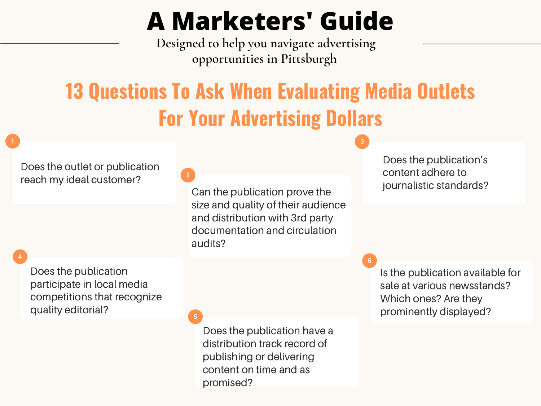## **A Marketers' Guide**

**Designed to help you navigate advertising opportunities in Pittsburgh**

## **13 Questions To Ask When Evaluating Media Outlets For Your Advertising Dollars**

Does the outlet or publication reach my ideal customer?

**4**

Does the publication participate in local media competitions that recognize quality editorial?

**2**

**5**

Can the publication prove the size and quality of their audience and distribution with 3rd party documentation and circulation audits?

Does the publication's content adhere to journalistic standards?

**3**

**6**

Is the publication available for sale at various newsstands? Which ones? Are they prominently displayed?

Does the publication have a distribution track record of publishing or delivering content on time and as promised?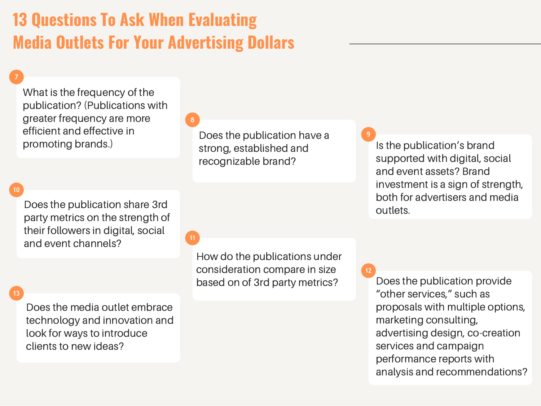## **13 Questions To Ask When Evaluating Media Outlets For Your Advertising Dollars**

What is the frequency of the publication? (Publications with greater frequency are more efficient and effective in promoting brands.)

**8**

Does the publication have a strong, established and recognizable brand?

Is the publication's brand supported with digital, social and event assets? Brand investment is a sign of strength, both for advertisers and media outlets. **9**

**7**

Does the publication share 3rd party metrics on the strength of their followers in digital, social and event channels?

#### **13**

Does the media outlet embrace technology and innovation and look for ways to introduce clients to new ideas?

**11**

How do the publications under consideration compare in size based on of 3rd party metrics?

Does the publication provide "other services," such as proposals with multiple options, marketing consulting, advertising design, co-creation services and campaign performance reports with analysis and recommendations? **12**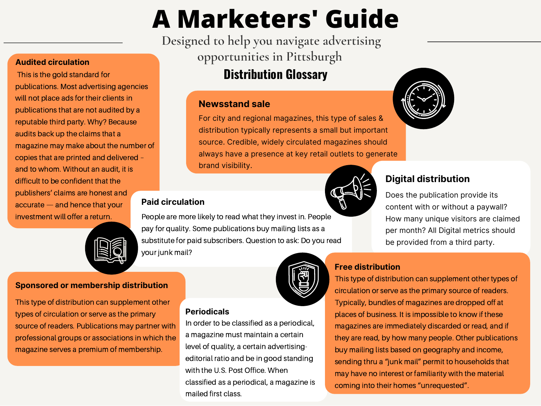# **A Marketers' Guide**

**Designed to help you navigate advertising opportunities in Pittsburgh**

### **Distribution Glossary**

#### **Newsstand sale**

For city and regional magazines, this type of sales & distribution typically represents a small but important source. Credible, widely circulated magazines should always have a presence at key retail outlets to generate brand visibility.

#### **Paid circulation**

investment will offer a return. People are more likely to read what they invest in. People pay for quality. Some publications buy mailing lists as a substitute for paid subscribers. Question to ask: Do you read your junk mail?

#### **Periodicals**

In order to be classified as a periodical, a magazine must maintain a certain level of quality, a certain advertisingeditorial ratio and be in good standing with the U.S. Post Office. When classified as a periodical, a magazine is mailed first class.

## **Digital distribution**

Does the publication provide its content with or without a paywall? How many unique visitors are claimed per month? All Digital metrics should be provided from a third party.

### **Free distribution**

This type of distribution can supplement other types of circulation or serve as the primary source of readers. Typically, bundles of magazines are dropped off at places of business. It is impossible to know if these magazines are immediately discarded or read, and if they are read, by how many people. Other publications buy mailing lists based on geography and income, sending thru a "junk mail" permit to households that may have no interest or familiarity with the material coming into their homes "unrequested".

#### **Audited circulation**

This is the gold standard for publications. Most advertising agencies will not place ads for their clients in publications that are not audited by a reputable third party. Why? Because audits back up the claims that a magazine may make about the number of copies that are printed and delivered – and to whom. Without an audit, it is difficult to be confident that the publishers' claims are honest and accurate — and hence that your



#### **Sponsored or membership distribution**

This type of distribution can supplement other types of circulation or serve as the primary source of readers. Publications may partner with professional groups or associations in which the magazine serves a premium of membership.